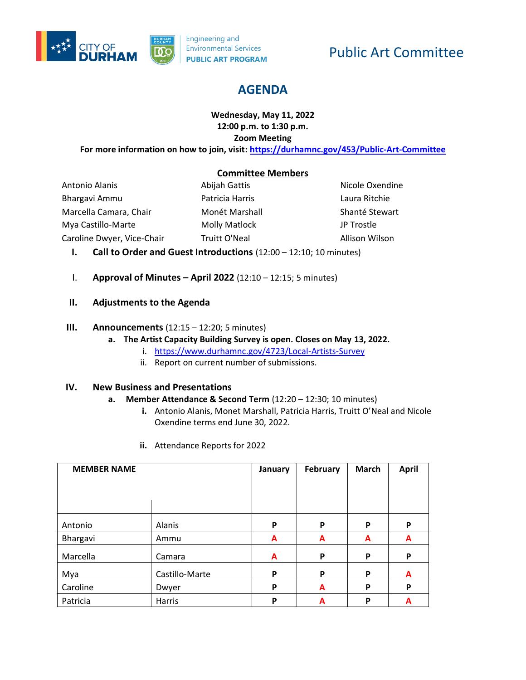

# Public Art Committee

# **AGENDA**

# **Wednesday, May 11, 2022 12:00 p.m. to 1:30 p.m. Zoom Meeting**

**For more information on how to join, visit[: https://durhamnc.gov/453/Public-Art-Committee](https://durhamnc.gov/453/Public-Art-Committee)**

# **Committee Members**

Antonio Alanis Bhargavi Ammu Marcella Camara, Chair Mya Castillo-Marte Caroline Dwyer, Vice-Chair

Abijah Gattis Patricia Harris Monét Marshall Molly Matlock Truitt O'Neal

Nicole Oxendine Laura Ritchie Shanté Stewart JP Trostle Allison Wilson

- **I. Call to Order and Guest Introductions** (12:00 12:10; 10 minutes)
- I. **Approval of Minutes – April 2022** (12:10 12:15; 5 minutes)
- **II. Adjustments to the Agenda**

#### **III. Announcements** (12:15 – 12:20; 5 minutes)

- **a. The Artist Capacity Building Survey is open. Closes on May 13, 2022.**
	- i. <https://www.durhamnc.gov/4723/Local-Artists-Survey>
	- ii. Report on current number of submissions.

#### **IV. New Business and Presentations**

#### **a. Member Attendance & Second Term** (12:20 – 12:30; 10 minutes)

- **i.** Antonio Alanis, Monet Marshall, Patricia Harris, Truitt O'Neal and Nicole Oxendine terms end June 30, 2022.
- **ii.** Attendance Reports for 2022

| <b>MEMBER NAME</b> |                | January | February | <b>March</b> | <b>April</b> |
|--------------------|----------------|---------|----------|--------------|--------------|
|                    |                |         |          |              |              |
|                    |                |         |          |              |              |
|                    |                |         |          |              |              |
| Antonio            | Alanis         | P       | P        | P            | P            |
| Bhargavi           | Ammu           | A       | A        | A            | A            |
| Marcella           | Camara         | A       | P        | P            | P            |
| Mya                | Castillo-Marte | P       | P        | P            | A            |
| Caroline           | Dwyer          | P       | A        | P            | P            |
| Patricia           | Harris         | P       | A        | P            | A            |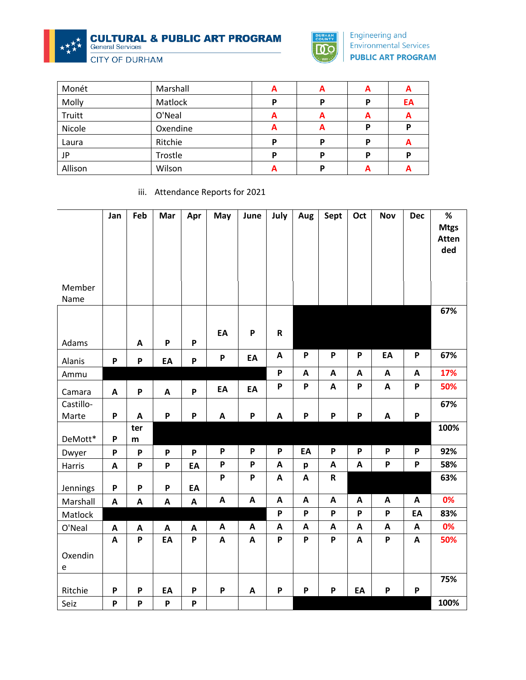**CULTURAL & PUBLIC ART PROGRAM**<br>General Services

**CITY OF DURHAM** 



<u>and the company of the company of the company of the company of the company of the company of the company of the company of the company of the company of the company of the company of the company of the company of the com</u>

Engineering and Environmental Services **PUBLIC ART PROGRAM** 

| Monét   | Marshall | A | A | A | A  |
|---------|----------|---|---|---|----|
| Molly   | Matlock  | D | P | Ρ | EA |
| Truitt  | O'Neal   | A | A | A | A  |
| Nicole  | Oxendine | A | A | Ρ | P  |
| Laura   | Ritchie  | D | D | Ρ | A  |
| JP      | Trostle  | D | D | Р | Р  |
| Allison | Wilson   |   | D | A | A  |

iii. Attendance Reports for 2021

| Member<br>Name | Jan                       | Feb                       | Mar                       | Apr          | May                       | June                      | July                      | Aug                       | Sept                      | Oct                       | <b>Nov</b>                | <b>Dec</b>                | %<br><b>Mtgs</b><br>Atten<br>ded |
|----------------|---------------------------|---------------------------|---------------------------|--------------|---------------------------|---------------------------|---------------------------|---------------------------|---------------------------|---------------------------|---------------------------|---------------------------|----------------------------------|
| Adams          |                           | A                         | P                         | P            | EA                        | $\boldsymbol{\mathsf{P}}$ | R                         |                           |                           |                           |                           |                           | 67%                              |
| Alanis         | $\boldsymbol{\mathsf{P}}$ | $\boldsymbol{\mathsf{P}}$ | EA                        | P            | P                         | EA                        | $\boldsymbol{\mathsf{A}}$ | P                         | P                         | P                         | EA                        | $\mathsf{P}$              | 67%                              |
| Ammu           |                           |                           |                           |              |                           |                           | P                         | A                         | $\boldsymbol{\mathsf{A}}$ | A                         | $\mathbf{A}$              | A                         | 17%                              |
| Camara         | $\boldsymbol{\mathsf{A}}$ | $\boldsymbol{\mathsf{P}}$ | $\boldsymbol{\mathsf{A}}$ | P            | EA                        | EA                        | P                         | P                         | $\boldsymbol{\mathsf{A}}$ | P                         | $\boldsymbol{\mathsf{A}}$ | $\boldsymbol{\mathsf{P}}$ | 50%                              |
| Castillo-      |                           |                           |                           |              |                           |                           |                           |                           |                           |                           |                           |                           | 67%                              |
| Marte          | P                         | A                         | P                         | P            | A                         | $\boldsymbol{\mathsf{P}}$ | $\boldsymbol{\mathsf{A}}$ | P                         | P                         | P                         | A                         | $\boldsymbol{\mathsf{P}}$ |                                  |
| DeMott*        | P                         | ter<br>m                  |                           |              |                           |                           |                           |                           |                           |                           |                           |                           | 100%                             |
| Dwyer          | P                         | P                         | $\boldsymbol{\mathsf{P}}$ | P            | P                         | P                         | P                         | EA                        | P                         | P                         | P                         | $\boldsymbol{\mathsf{P}}$ | 92%                              |
| Harris         | A                         | P                         | P                         | EA           | P                         | $\boldsymbol{\mathsf{P}}$ | $\boldsymbol{\mathsf{A}}$ | p                         | $\boldsymbol{\mathsf{A}}$ | A                         | P                         | $\boldsymbol{\mathsf{P}}$ | 58%                              |
| Jennings       | P                         | P                         | P                         | EA           | $\boldsymbol{\mathsf{P}}$ | $\boldsymbol{\mathsf{P}}$ | $\boldsymbol{\mathsf{A}}$ | $\boldsymbol{\mathsf{A}}$ | ${\bf R}$                 |                           |                           |                           | 63%                              |
| Marshall       | A                         | $\boldsymbol{\mathsf{A}}$ | A                         | $\mathbf{A}$ | A                         | $\boldsymbol{\mathsf{A}}$ | $\boldsymbol{\mathsf{A}}$ | $\boldsymbol{\mathsf{A}}$ | $\boldsymbol{\mathsf{A}}$ | $\boldsymbol{\mathsf{A}}$ | A                         | $\boldsymbol{\mathsf{A}}$ | 0%                               |
| Matlock        |                           |                           |                           |              |                           |                           | P                         | P                         | P                         | P                         | P                         | EA                        | 83%                              |
| O'Neal         | A                         | A                         | A                         | $\mathbf{A}$ | A                         | A                         | $\boldsymbol{\mathsf{A}}$ | $\mathbf{A}$              | $\boldsymbol{\mathsf{A}}$ | A                         | A                         | $\boldsymbol{\mathsf{A}}$ | 0%                               |
|                | A                         | P                         | EA                        | P            | A                         | A                         | P                         | P                         | P                         | A                         | P                         | $\boldsymbol{\mathsf{A}}$ | 50%                              |
| Oxendin<br>e   |                           |                           |                           |              |                           |                           |                           |                           |                           |                           |                           |                           |                                  |
|                |                           |                           |                           |              |                           |                           |                           |                           |                           |                           |                           |                           | 75%                              |
| Ritchie        | P                         | P                         | EA                        | P            | P                         | A                         | P                         | P                         | P                         | EA                        | P                         | $\boldsymbol{\mathsf{P}}$ |                                  |
| Seiz           | P                         | P                         | P                         | P            |                           |                           |                           |                           |                           |                           |                           |                           | 100%                             |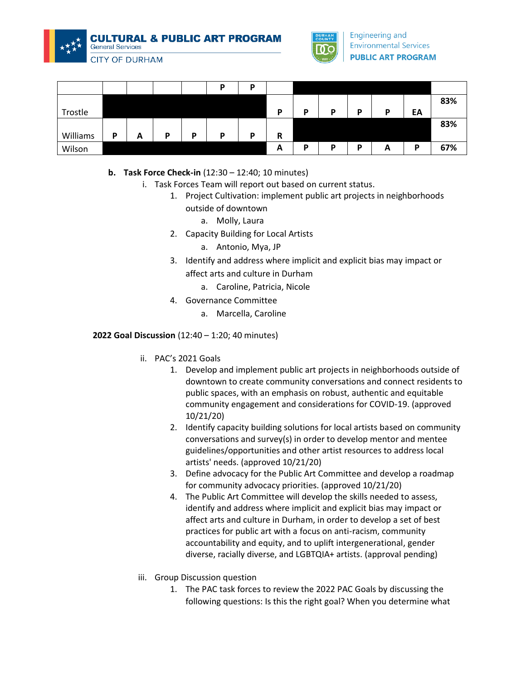



**CITY OF DURHAM** 

|          |   |   |   |   | D | D |   |   |   |   |   |    |     |
|----------|---|---|---|---|---|---|---|---|---|---|---|----|-----|
|          |   |   |   |   |   |   |   |   |   |   |   |    | 83% |
| Trostle  |   |   |   |   |   |   | D | D | D | D | D | EA |     |
|          |   |   |   |   |   |   |   |   |   |   |   |    | 83% |
| Williams | P | A | P | D | D | D | R |   |   |   |   |    |     |
| Wilson   |   |   |   |   |   |   | A | D | D | D | A | D  | 67% |

# **b. Task Force Check-in** (12:30 – 12:40; 10 minutes)

- i. Task Forces Team will report out based on current status.
	- 1. Project Cultivation: implement public art projects in neighborhoods outside of downtown
		- a. Molly, Laura
	- 2. Capacity Building for Local Artists
		- a. Antonio, Mya, JP
	- 3. Identify and address where implicit and explicit bias may impact or affect arts and culture in Durham
		- a. Caroline, Patricia, Nicole
	- 4. Governance Committee
		- a. Marcella, Caroline

#### **2022 Goal Discussion** (12:40 – 1:20; 40 minutes)

- ii. PAC's 2021 Goals
	- 1. Develop and implement public art projects in neighborhoods outside of downtown to create community conversations and connect residents to public spaces, with an emphasis on robust, authentic and equitable community engagement and considerations for COVID-19. (approved 10/21/20)
	- 2. Identify capacity building solutions for local artists based on community conversations and survey(s) in order to develop mentor and mentee guidelines/opportunities and other artist resources to address local artists' needs. (approved 10/21/20)
	- 3. Define advocacy for the Public Art Committee and develop a roadmap for community advocacy priorities. (approved 10/21/20)
	- 4. The Public Art Committee will develop the skills needed to assess, identify and address where implicit and explicit bias may impact or affect arts and culture in Durham, in order to develop a set of best practices for public art with a focus on anti-racism, community accountability and equity, and to uplift intergenerational, gender diverse, racially diverse, and LGBTQIA+ artists. (approval pending)
- iii. Group Discussion question
	- 1. The PAC task forces to review the 2022 PAC Goals by discussing the following questions: Is this the right goal? When you determine what